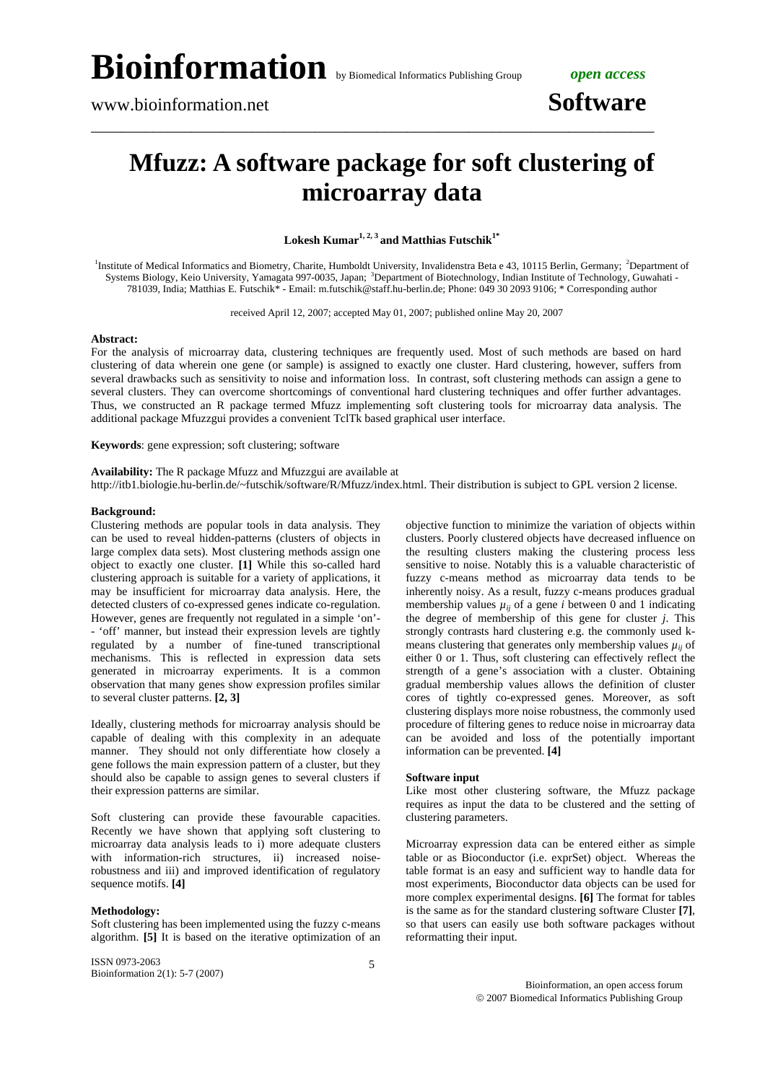# **Bioinformation** by Biomedical Informatics Publishing Group *open access*

## **Mfuzz: A software package for soft clustering of microarray data**

\_\_\_\_\_\_\_\_\_\_\_\_\_\_\_\_\_\_\_\_\_\_\_\_\_\_\_\_\_\_\_\_\_\_\_\_\_\_\_\_\_\_\_\_\_\_\_\_\_\_\_\_\_\_\_\_\_\_\_\_\_\_\_\_\_\_\_\_\_\_\_\_\_

Lokesh Kumar<sup>1, 2, 3</sup> and Matthias Futschik<sup>1\*</sup>

<sup>1</sup>Institute of Medical Informatics and Biometry, Charite, Humboldt University, Invalidenstra Beta e 43, 10115 Berlin, Germany; <sup>2</sup>Department of Systems Biology, Keio University, Yamagata 997-0035, Japan; <sup>3</sup>Department of Biotechnology, Indian Institute of Technology, Guwahati -781039, India; Matthias E. Futschik\* - Email: m.futschik@staff.hu-berlin.de; Phone: 049 30 2093 9106; \* Corresponding author

received April 12, 2007; accepted May 01, 2007; published online May 20, 2007

#### **Abstract:**

For the analysis of microarray data, clustering techniques are frequently used. Most of such methods are based on hard clustering of data wherein one gene (or sample) is assigned to exactly one cluster. Hard clustering, however, suffers from several drawbacks such as sensitivity to noise and information loss. In contrast, soft clustering methods can assign a gene to several clusters. They can overcome shortcomings of conventional hard clustering techniques and offer further advantages. Thus, we constructed an R package termed Mfuzz implementing soft clustering tools for microarray data analysis. The additional package Mfuzzgui provides a convenient TclTk based graphical user interface.

**Keywords**: gene expression; soft clustering; software

**Availability:** The R package Mfuzz and Mfuzzgui are available at http://itb1.biologie.hu-berlin.de/~futschik/software/R/Mfuzz/index.html. Their distribution is subject to GPL version 2 license.

#### **Background:**

Clustering methods are popular tools in data analysis. They can be used to reveal hidden-patterns (clusters of objects in large complex data sets). Most clustering methods assign one object to exactly one cluster. **[1]** While this so-called hard clustering approach is suitable for a variety of applications, it may be insufficient for microarray data analysis. Here, the detected clusters of co-expressed genes indicate co-regulation. However, genes are frequently not regulated in a simple 'on'- - 'off' manner, but instead their expression levels are tightly regulated by a number of fine-tuned transcriptional mechanisms. This is reflected in expression data sets generated in microarray experiments. It is a common observation that many genes show expression profiles similar to several cluster patterns. **[2, 3]**

Ideally, clustering methods for microarray analysis should be capable of dealing with this complexity in an adequate manner. They should not only differentiate how closely a gene follows the main expression pattern of a cluster, but they should also be capable to assign genes to several clusters if their expression patterns are similar.

Soft clustering can provide these favourable capacities. Recently we have shown that applying soft clustering to microarray data analysis leads to i) more adequate clusters with information-rich structures, ii) increased noiserobustness and iii) and improved identification of regulatory sequence motifs. **[4]**

#### **Methodology:**

Soft clustering has been implemented using the fuzzy c-means algorithm. **[5]** It is based on the iterative optimization of an

ISSN 0973-2063 Bioinformation 2(1): 5-7 (2007) objective function to minimize the variation of objects within clusters. Poorly clustered objects have decreased influence on the resulting clusters making the clustering process less sensitive to noise. Notably this is a valuable characteristic of fuzzy c-means method as microarray data tends to be inherently noisy. As a result, fuzzy c-means produces gradual membership values  $\mu_{ii}$  of a gene *i* between 0 and 1 indicating the degree of membership of this gene for cluster *j*. This strongly contrasts hard clustering e.g. the commonly used kmeans clustering that generates only membership values  $\mu_{ii}$  of either 0 or 1. Thus, soft clustering can effectively reflect the strength of a gene's association with a cluster. Obtaining gradual membership values allows the definition of cluster cores of tightly co-expressed genes. Moreover, as soft clustering displays more noise robustness, the commonly used procedure of filtering genes to reduce noise in microarray data can be avoided and loss of the potentially important information can be prevented. **[4]**

#### **Software input**

Like most other clustering software, the Mfuzz package requires as input the data to be clustered and the setting of clustering parameters.

Microarray expression data can be entered either as simple table or as Bioconductor (i.e. exprSet) object. Whereas the table format is an easy and sufficient way to handle data for most experiments, Bioconductor data objects can be used for more complex experimental designs. **[6]** The format for tables is the same as for the standard clustering software Cluster **[7]**, so that users can easily use both software packages without reformatting their input.

Bioinformation, an open access forum © 2007 Biomedical Informatics Publishing Group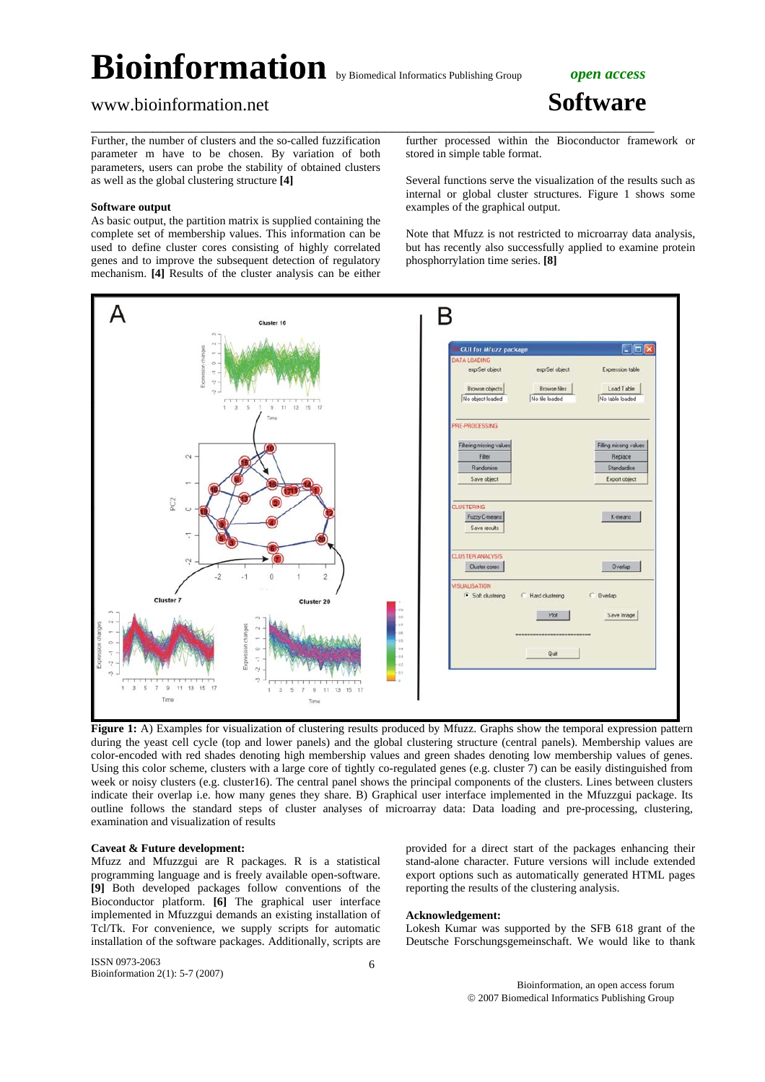## **Bioinformation** by Biomedical Informatics Publishing Group *open access*

\_\_\_\_\_\_\_\_\_\_\_\_\_\_\_\_\_\_\_\_\_\_\_\_\_\_\_\_\_\_\_\_\_\_\_\_\_\_\_\_\_\_\_\_\_\_\_\_\_\_\_\_\_\_\_\_\_\_\_\_\_\_\_\_\_\_\_\_\_\_\_\_\_

### www.bioinformation.net **Software**

Further, the number of clusters and the so-called fuzzification parameter m have to be chosen. By variation of both parameters, users can probe the stability of obtained clusters as well as the global clustering structure **[4]**

#### **Software output**

As basic output, the partition matrix is supplied containing the complete set of membership values. This information can be used to define cluster cores consisting of highly correlated genes and to improve the subsequent detection of regulatory mechanism. **[4]** Results of the cluster analysis can be either further processed within the Bioconductor framework or stored in simple table format.

Several functions serve the visualization of the results such as internal or global cluster structures. Figure 1 shows some examples of the graphical output.

Note that Mfuzz is not restricted to microarray data analysis, but has recently also successfully applied to examine protein phosphorrylation time series. **[8]**



**Figure 1:** A) Examples for visualization of clustering results produced by Mfuzz. Graphs show the temporal expression pattern during the yeast cell cycle (top and lower panels) and the global clustering structure (central panels). Membership values are color-encoded with red shades denoting high membership values and green shades denoting low membership values of genes. Using this color scheme, clusters with a large core of tightly co-regulated genes (e.g. cluster 7) can be easily distinguished from week or noisy clusters (e.g. cluster16). The central panel shows the principal components of the clusters. Lines between clusters indicate their overlap i.e. how many genes they share. B) Graphical user interface implemented in the Mfuzzgui package. Its outline follows the standard steps of cluster analyses of microarray data: Data loading and pre-processing, clustering, examination and visualization of results

#### **Caveat & Future development:**

Mfuzz and Mfuzzgui are R packages. R is a statistical programming language and is freely available open-software. **[9]** Both developed packages follow conventions of the Bioconductor platform. **[6]** The graphical user interface implemented in Mfuzzgui demands an existing installation of Tcl/Tk. For convenience, we supply scripts for automatic installation of the software packages. Additionally, scripts are provided for a direct start of the packages enhancing their stand-alone character. Future versions will include extended export options such as automatically generated HTML pages reporting the results of the clustering analysis.

#### **Acknowledgement:**

Lokesh Kumar was supported by the SFB 618 grant of the Deutsche Forschungsgemeinschaft. We would like to thank

ISSN 0973-2063 Bioinformation 2(1): 5-7 (2007)

Bioinformation, an open access forum © 2007 Biomedical Informatics Publishing Group

6